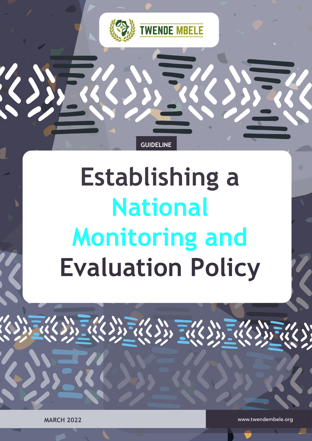

# **Establishing a National Monitoring and Evaluation Policy**

**GUIDELINE**

www.twendembele.org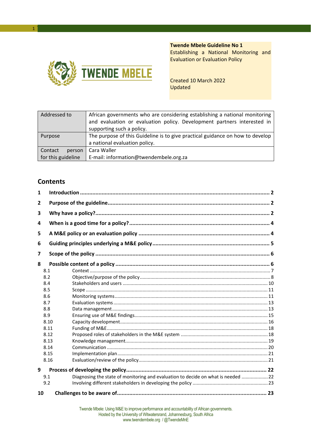### **Twende Mbele Guideline No 1**



Establishing a National Monitoring and Evaluation or Evaluation Policy

Created 10 March 2022 Updated

| Addressed to<br>African governments who are considering establishing a national monitoring<br>and evaluation or evaluation policy. Development partners interested in<br>supporting such a policy. |                                                                                                                |
|----------------------------------------------------------------------------------------------------------------------------------------------------------------------------------------------------|----------------------------------------------------------------------------------------------------------------|
| Purpose                                                                                                                                                                                            | The purpose of this Guideline is to give practical guidance on how to develop<br>a national evaluation policy. |
| Contact<br>person                                                                                                                                                                                  | Cara Waller                                                                                                    |
| for this guideline                                                                                                                                                                                 | E-mail: information@twendembele.org.za                                                                         |

#### **Contents**

1

| 1   |      |                                                                                  |  |  |  |
|-----|------|----------------------------------------------------------------------------------|--|--|--|
| 2   |      |                                                                                  |  |  |  |
| 3   |      |                                                                                  |  |  |  |
| 4   |      |                                                                                  |  |  |  |
| 5   |      |                                                                                  |  |  |  |
| 6   |      |                                                                                  |  |  |  |
| 7   |      |                                                                                  |  |  |  |
| 8   |      |                                                                                  |  |  |  |
| 8.1 |      |                                                                                  |  |  |  |
| 8.2 |      |                                                                                  |  |  |  |
| 8.4 |      |                                                                                  |  |  |  |
| 8.5 |      |                                                                                  |  |  |  |
| 8.6 |      |                                                                                  |  |  |  |
| 8.7 |      |                                                                                  |  |  |  |
| 8.8 |      |                                                                                  |  |  |  |
| 8.9 |      |                                                                                  |  |  |  |
|     | 8.10 |                                                                                  |  |  |  |
|     | 8.11 |                                                                                  |  |  |  |
|     | 8.12 |                                                                                  |  |  |  |
|     | 8.13 |                                                                                  |  |  |  |
|     | 8.14 |                                                                                  |  |  |  |
|     | 8.15 |                                                                                  |  |  |  |
|     | 8.16 |                                                                                  |  |  |  |
| 9   |      |                                                                                  |  |  |  |
| 9.1 |      | Diagnosing the state of monitoring and evaluation to decide on what is needed 22 |  |  |  |
| 9.2 |      |                                                                                  |  |  |  |
| 10  |      |                                                                                  |  |  |  |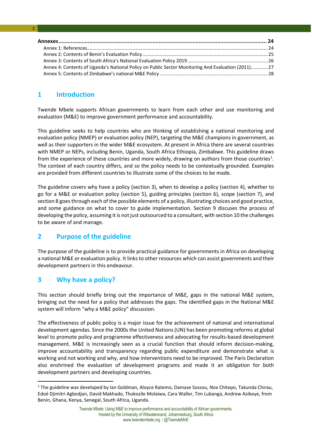| Annex 4: Contents of Uganda's National Policy on Public Sector Monitoring And Evaluation (2011)27 |  |
|---------------------------------------------------------------------------------------------------|--|
|                                                                                                   |  |

#### <span id="page-2-0"></span>**1 Introduction**

2

Twende Mbele supports African governments to learn from each other and use monitoring and evaluation (M&E) to improve government performance and accountability.

This guideline seeks to help countries who are thinking of establishing a national monitoring and evaluation policy (NMEP) or evaluation policy (NEP), targeting the M&E champions in government, as well as their supporters in the wider M&E ecosystem. At present in Africa there are several countries with NMEP or NEPs, including Benin, Uganda, South Africa Ethiopia, Zimbabwe. This guideline draws from the experience of these countries and more widely, drawing on authors from those countries<sup>[1](#page-2-3)</sup>. The context of each country differs, and so the policy needs to be contextually grounded. Examples are provided from different countries to illustrate some of the choices to be made.

The guideline covers why have a policy (section 3), when to develop a policy (section 4), whether to go for a M&E or evaluation policy (section 5), guiding principles (section 6), scope (section 7), and section 8 goes through each of the possible elements of a policy, illustrating choices and good practice, and some guidance on what to cover to guide implementation. Section 9 discuses the process of developing the policy, assuming it is not just outsourced to a consultant, with section 10 the challenges to be aware of and manage.

#### <span id="page-2-1"></span>**2 Purpose of the guideline**

The purpose of the guideline is to provide practical guidance for governments in Africa on developing a national M&E or evaluation policy. It links to other resources which can assist governments and their development partners in this endeavour.

#### <span id="page-2-2"></span>**3 Why have a policy?**

**.** 

This section should briefly bring out the importance of M&E, gaps in the national M&E system, bringing out the need for a policy that addresses the gaps. The identified gaps in the National M&E system will inform "why a M&E policy" discussion.

The effectiveness of public policy is a major issue for the achievement of national and international development agendas. Since the 2000s the United Nations (UN) has been promoting reforms at global level to promote policy and programme effectiveness and advocating for results-based development management. M&E is increasingly seen as a crucial function that should inform decision-making, improve accountability and transparency regarding public expenditure and demonstrate what is working and not working and why, and how interventions need to be improved. The Paris Declaration also enshrined the evaluation of development programs and made it an obligation for both development partners and developing countries.

<span id="page-2-3"></span><sup>1</sup> The guideline was developed by Ian Goldman, Aloyce Ratemo, Damase Sossou, Nox Chitepo, Takunda Chirau, Edoé Djimitri Agbodjan, David Makhado, Thokozile Molaiwa, Cara Waller, Tim Lubanga, Andrew Asibeye, from Benin, Ghana, Kenya, Senegal, South Africa, Uganda.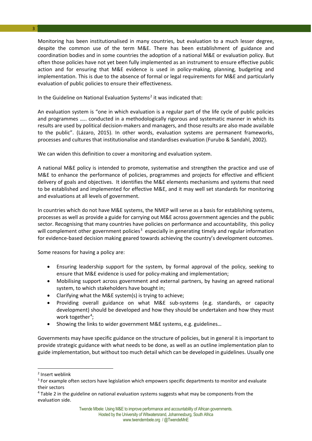3

Monitoring has been institutionalised in many countries, but evaluation to a much lesser degree, despite the common use of the term M&E. There has been establishment of guidance and coordination bodies and in some countries the adoption of a national M&E or evaluation policy. But often those policies have not yet been fully implemented as an instrument to ensure effective public action and for ensuring that M&E evidence is used in policy-making, planning, budgeting and implementation. This is due to the absence of formal or legal requirements for M&E and particularly evaluation of public policies to ensure their effectiveness.

In the Guideline on National Evaluation Systems<sup>[2](#page-3-0)</sup> it was indicated that:

An evaluation system is "one in which evaluation is a regular part of the life cycle of public policies and programmes ….. conducted in a methodologically rigorous and systematic manner in which its results are used by political decision-makers and managers, and those results are also made available to the public". (Lázaro, 2015). In other words, evaluation systems are permanent frameworks, processes and cultures that institutionalise and standardises evaluation (Furubo & Sandahl, 2002).

We can widen this definition to cover a monitoring and evaluation system.

A national M&E policy is intended to promote, systematise and strengthen the practice and use of M&E to enhance the performance of policies, programmes and projects for effective and efficient delivery of goals and objectives. It identifies the M&E elements mechanisms and systems that need to be established and implemented for effective M&E, and it may well set standards for monitoring and evaluations at all levels of government.

In countries which do not have M&E systems, the NMEP will serve as a basis for establishing systems, processes as well as provide a guide for carrying out M&E across government agencies and the public sector. Recognising that many countries have policies on performance and accountability, this policy will complement other government policies<sup>[3](#page-3-1)</sup> especially in generating timely and regular information for evidence-based decision making geared towards achieving the country's development outcomes.

Some reasons for having a policy are:

- Ensuring leadership support for the system, by formal approval of the policy, seeking to ensure that M&E evidence is used for policy-making and implementation;
- Mobilising support across government and external partners, by having an agreed national system, to which stakeholders have bought in;
- Clarifying what the M&E system(s) is trying to achieve;
- Providing overall guidance on what M&E sub-systems (e.g. standards, or capacity development) should be developed and how they should be undertaken and how they must work together<sup>[4](#page-3-2)</sup>;
- Showing the links to wider government M&E systems, e.g. guidelines...

Governments may have specific guidance on the structure of policies, but in general it is important to provide strategic guidance with what needs to be done, as well as an outline implementation plan to guide implementation, but without too much detail which can be developed in guidelines. Usually one

 $\overline{a}$ 

<span id="page-3-0"></span><sup>2</sup> Insert weblink

<span id="page-3-1"></span><sup>&</sup>lt;sup>3</sup> For example often sectors have legislation which empowers specific departments to monitor and evaluate their sectors

<span id="page-3-2"></span><sup>4</sup> Table 2 in the guideline on national evaluation systems suggests what may be components from the evaluation side.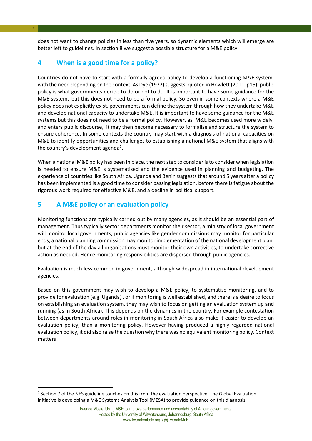does not want to change policies in less than five years, so dynamic elements which will emerge are better left to guidelines. In section 8 we suggest a possible structure for a M&E policy.

#### <span id="page-4-0"></span>**4 When is a good time for a policy?**

Countries do not have to start with a formally agreed policy to develop a functioning M&E system, with the need depending on the context. As Dye (1972) suggests, quoted in Howlett (2011, p15), public policy is what governments decide to do or not to do. It is important to have some guidance for the M&E systems but this does not need to be a formal policy. So even in some contexts where a M&E policy does not explicitly exist, governments can define the system through how they undertake M&E and develop national capacity to undertake M&E. It is important to have some guidance for the M&E systems but this does not need to be a formal policy. However, as M&E becomes used more widely, and enters public discourse, it may then become necessary to formalise and structure the system to ensure coherence. In some contexts the country may start with a diagnosis of national capacities on M&E to identify opportunities and challenges to establishing a national M&E system that aligns with the country's development agenda<sup>[5](#page-4-2)</sup>.

When a national M&E policy has been in place, the next step to consider is to consider when legislation is needed to ensure M&E is systematised and the evidence used in planning and budgeting. The experience of countries like South Africa, Uganda and Benin suggests that around 5 years after a policy has been implemented is a good time to consider passing legislation, before there is fatigue about the rigorous work required for effective M&E, and a decline in political support.

#### <span id="page-4-1"></span>**5 A M&E policy or an evaluation policy**

Monitoring functions are typically carried out by many agencies, as it should be an essential part of management. Thus typically sector departments monitor their sector, a ministry of local government will monitor local governments, public agencies like gender commissions may monitor for particular ends, a national planning commission may monitor implementation of the national development plan, but at the end of the day all organisations must monitor their own activities, to undertake corrective action as needed. Hence monitoring responsibilities are dispersed through public agencies.

Evaluation is much less common in government, although widespread in international development agencies.

Based on this government may wish to develop a M&E policy, to systematise monitoring, and to provide for evaluation (e.g. Uganda) , or if monitoring is well established, and there is a desire to focus on establishing an evaluation system, they may wish to focus on getting an evaluation system up and running (as in South Africa). This depends on the dynamics in the country. For example contestation between departments around roles in monitoring in South Africa also make it easier to develop an evaluation policy, than a monitoring policy. However having produced a highly regarded national evaluation policy, it did also raise the question why there was no equivalent monitoring policy. Context matters!

<u>.</u>

<span id="page-4-2"></span><sup>5</sup> Section 7 of the NES guideline touches on this from the evaluation perspective. The Global Evaluation Initiative is developing a M&E Systems Analysis Tool (MESA) to provide guidance on this diagnosis.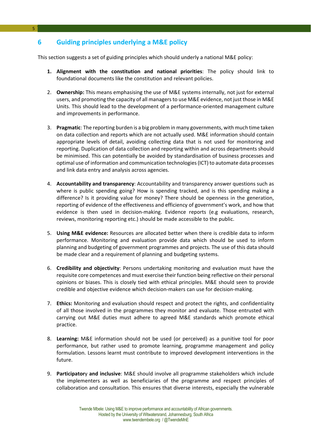#### <span id="page-5-0"></span>**6 Guiding principles underlying a M&E policy**

This section suggests a set of guiding principles which should underly a national M&E policy:

- **1. Alignment with the constitution and national priorities**: The policy should link to foundational documents like the constitution and relevant policies.
- 2. **Ownership:** This means emphasising the use of M&E systems internally, not just for external users, and promoting the capacity of all managers to use M&E evidence, not just those in M&E Units. This should lead to the development of a performance-oriented management culture and improvements in performance.
- 3. **Pragmatic**: The reporting burden is a big problem in many governments, with much time taken on data collection and reports which are not actually used. M&E information should contain appropriate levels of detail, avoiding collecting data that is not used for monitoring and reporting. Duplication of data collection and reporting within and across departments should be minimised. This can potentially be avoided by standardisation of business processes and optimal use of information and communication technologies (ICT) to automate data processes and link data entry and analysis across agencies.
- 4. **Accountability and transparency**: Accountability and transparency answer questions such as where is public spending going? How is spending tracked, and is this spending making a difference? Is it providing value for money? There should be openness in the generation, reporting of evidence of the effectiveness and efficiency of government's work, and how that evidence is then used in decision-making. Evidence reports (e.g evaluations, research, reviews, monitoring reporting etc.) should be made accessible to the public.
- 5. **Using M&E evidence:** Resources are allocated better when there is credible data to inform performance. Monitoring and evaluation provide data which should be used to inform planning and budgeting of government programmes and projects. The use of this data should be made clear and a requirement of planning and budgeting systems.
- 6. **Credibility and objectivity**: Persons undertaking monitoring and evaluation must have the requisite core competences and must exercise their function being reflective on their personal opinions or biases. This is closely tied with ethical principles. M&E should seen to provide credible and objective evidence which decision-makers can use for decision-making.
- 7. **Ethics:** Monitoring and evaluation should respect and protect the rights, and confidentiality of all those involved in the programmes they monitor and evaluate. Those entrusted with carrying out M&E duties must adhere to agreed M&E standards which promote ethical practice.
- 8. **Learning:** M&E information should not be used (or perceived) as a punitive tool for poor performance, but rather used to promote learning, programme management and policy formulation. Lessons learnt must contribute to improved development interventions in the future.
- 9. **Participator**y **and inclusive**: M&E should involve all programme stakeholders which include the implementers as well as beneficiaries of the programme and respect principles of collaboration and consultation. This ensures that diverse interests, especially the vulnerable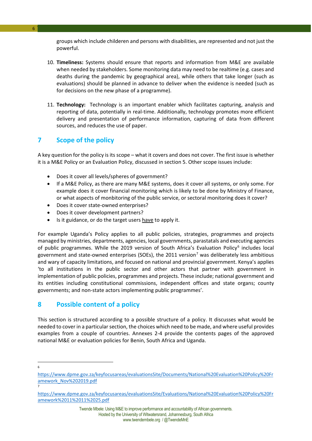groups which include childeren and persons with disabilities, are represented and not just the powerful.

- 10. **Timeliness:** Systems should ensure that reports and information from M&E are available when needed by stakeholders. Some monitoring data may need to be realtime (e.g. cases and deaths during the pandemic by geographical area), while others that take longer (such as evaluations) should be planned in advance to deliver when the evidence is needed (such as for decisions on the new phase of a programme).
- 11. **Technology:** Technology is an important enabler which facilitates capturing, analysis and reporting of data, potentially in real-time. Additionally, technology promotes more efficient delivery and presentation of performance information, capturing of data from different sources, and reduces the use of paper.

#### <span id="page-6-0"></span>**7 Scope of the policy**

6

A key question for the policy is its scope – what it covers and does not cover. The first issue is whether it is a M&E Policy or an Evaluation Policy, discussed in section 5. Other scope issues include:

- Does it cover all levels/spheres of government?
- If a M&E Policy, as there are many M&E systems, does it cover all systems, or only some. For example does it cover financial monitoring which is likely to be done by Ministry of Finance, or what aspects of monbitoring of the public service, or sectoral monitoring does it cover?
- Does it cover state-owned enterprises?
- Does it cover development partners?
- Is it guidance, or do the target users have to apply it.

For example Uganda's Policy applies to all public policies, strategies, programmes and projects managed by ministries, departments, agencies, local governments, parastatals and executing agencies of public programmes. While the 2019 version of South Africa's Evaluation Policy<sup>[6](#page-6-2)</sup> includes local government and state-owned enterprises (SOEs), the 2011 version<sup>[7](#page-6-3)</sup> was deliberately less ambitious and wary of capacity limitations, and focused on national and provincial government. Kenya's applies 'to all institutions in the public sector and other actors that partner with government in implementation of public policies, programmes and projects. These include; national government and its entities including constitutional commissions, independent offices and state organs; county governments; and non-state actors implementing public programmes'.

#### <span id="page-6-1"></span>**8 Possible content of a policy**

This section is structured according to a possible structure of a policy. It discusses what would be needed to cover in a particular section, the choices which need to be made, and where useful provides examples from a couple of countries. Annexes 2-4 provide the contents pages of the approved national M&E or evaluation policies for Benin, South Africa and Uganda.

7

**<sup>.</sup>** 6

<span id="page-6-2"></span>[https://www.dpme.gov.za/keyfocusareas/evaluationsSite/Documents/National%20Evaluation%20Policy%20Fr](https://www.dpme.gov.za/keyfocusareas/evaluationsSite/Documents/National%20Evaluation%20Policy%20Framework_Nov%202019.pdf) [amework\\_Nov%202019.pdf](https://www.dpme.gov.za/keyfocusareas/evaluationsSite/Documents/National%20Evaluation%20Policy%20Framework_Nov%202019.pdf)

<span id="page-6-3"></span>[https://www.dpme.gov.za/keyfocusareas/evaluationsSite/Evaluations/National%20Evaluation%20Policy%20Fr](https://www.dpme.gov.za/keyfocusareas/evaluationsSite/Evaluations/National%20Evaluation%20Policy%20Framework%2011%2011%2025.pdf) [amework%2011%2011%2025.pdf](https://www.dpme.gov.za/keyfocusareas/evaluationsSite/Evaluations/National%20Evaluation%20Policy%20Framework%2011%2011%2025.pdf)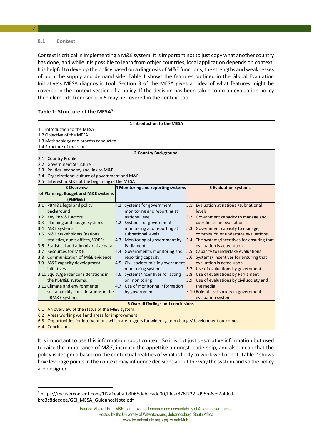#### <span id="page-7-0"></span>**8.1 Context**

7

Context is critical in implementing a M&E system. It is important not to just copy what another country has done, and while it is possible to learn from othjer countries, local application depends on context. It is helpful to develop the policy based on a diagnosis of M&E functions, the strengths and weaknesses of both the supply and demand side. Table 1 shows the features outlined in the Global Evaluation Initiative's MESA diagnostic tool. Section 3 of the MESA gives an idea of what features might be covered in the context section of a policy. If the decision has been taken to do an evaluation policy then elements from section 5 may be covered in the context too.

#### **Table 1: Structure of the MESA[8](#page-7-1)**

|                                                                                                                |     | 1 Introduction to the MESA                |                                              |
|----------------------------------------------------------------------------------------------------------------|-----|-------------------------------------------|----------------------------------------------|
| 1.1 Introduction to the MESA                                                                                   |     |                                           |                                              |
| 1.2 Objective of the MESA                                                                                      |     |                                           |                                              |
| 1.3 Methodology and process conducted                                                                          |     |                                           |                                              |
| 1.4 Structure of the report                                                                                    |     |                                           |                                              |
|                                                                                                                |     | 2 Country Background                      |                                              |
| 2.1 Country Profile                                                                                            |     |                                           |                                              |
| 2.2 Government Structure                                                                                       |     |                                           |                                              |
| 2.3 Political economy and link to M&E                                                                          |     |                                           |                                              |
| 2.4 Organizational culture of government and M&E                                                               |     |                                           |                                              |
| 2.5 Interest in M&E at the beginning of the MESA                                                               |     |                                           |                                              |
| <b>3 Overview</b>                                                                                              |     | 4 Monitoring and reporting systems        | <b>5 Evaluation systems</b>                  |
| of Planning, Budget and M&E systems                                                                            |     |                                           |                                              |
| (PBM&E)                                                                                                        |     |                                           |                                              |
| 3.1 PBM&E legal and policy                                                                                     |     | 4.1 Systems for government                | 5.1 Evaluation at national/subnational       |
| background                                                                                                     |     | monitoring and reporting at               | levels                                       |
| 3.2 Key PBM&E actors                                                                                           |     | national level                            | 5.2 Government capacity to manage and        |
| 3.3 Planning and budget systems                                                                                |     | 4.2 Systems for government                | coordinate an evaluation                     |
| 3.4 M&E systems                                                                                                |     | monitoring and reporting at               | 5.3 Government capacity to manage,           |
| 3.5 M&E stakeholders (national                                                                                 |     | subnational levels                        | commission or undertake evaluations          |
| statistics, audit offices, VOPEs                                                                               |     | 4.3 Monitoring of government by           | 5.4 The systems/incentives for ensuring that |
| 3.6 Statistical and administrative data                                                                        |     | Parliament                                | evaluation is acted upon                     |
| 3.7 Resources for M&E                                                                                          | 4.4 | Government's monitoring and               | 5.5 Capacity to undertake evaluations        |
| 3.8 Communication of M&E evidence                                                                              |     | reporting capacity                        | 5.6 Systems/incentives for ensuring that     |
| 3.9 M&E capacity development                                                                                   | 4.5 | Civil society role in government          | evaluation is acted upon                     |
| initiatives                                                                                                    |     | monitoring system                         | 5.7 Use of evaluations by government         |
| 3.10 Equity/gender considerations in                                                                           |     | 4.6 Systems/incentives for acting         | 5.8 Use of evaluations by Parliament         |
| the PBM&E systems.                                                                                             |     | on monitoring                             | 5.9 Use of evaluations by civil society and  |
| 3.11 Climate and environmental                                                                                 |     | 4.7 Use of monitoring information         | the media                                    |
| sustainability considerations in the                                                                           |     | by government                             | 5.10 Role of civil society in government     |
| PBM&E systems.                                                                                                 |     |                                           | evaluation system                            |
|                                                                                                                |     | <b>6 Overall findings and conclusions</b> |                                              |
| 6.1 An overview of the status of the M&E system                                                                |     |                                           |                                              |
| 6.2 Areas working well and areas for improvement                                                               |     |                                           |                                              |
| $\epsilon$ 2. Opportunities for interventions which are triggers for wider system shapes (development outcomes |     |                                           |                                              |

6.3 Opportunities for interventions which are triggers for wider system change/development outcomes

6.4 Conclusions

<u>.</u>

It is important to use this information about context. So it is not just descriptive information but used to raise the importance of M&E, increase the appettite amongst leadership, and also mean that the policy is designed based on the contextual realities of what is liekly to work well or not. Table 2 shows how leverage points in the context may influence decisions about the way the system and so the policy are designed.

<span id="page-7-1"></span><sup>8</sup> https://mcusercontent.com/1f2a1ea0afb3b65dabccade00/files/876f222f-d95b-6cb7-40cdbfd3c8decdee/GEI\_MESA\_GuidanceNote.pdf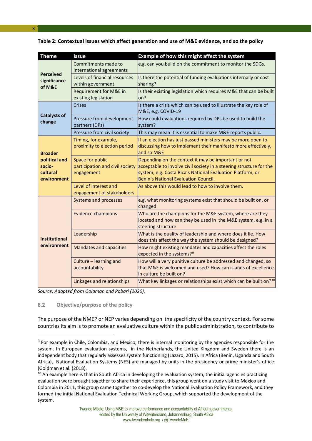|  | Table 2: Contextual issues which affect generation and use of M&E evidence, and so the policy |  |
|--|-----------------------------------------------------------------------------------------------|--|

| <b>Theme</b>                                       | <b>Issue</b>                                                                   | Example of how this might affect the system                                                                                                                                                                                      |
|----------------------------------------------------|--------------------------------------------------------------------------------|----------------------------------------------------------------------------------------------------------------------------------------------------------------------------------------------------------------------------------|
|                                                    | Commitments made to                                                            | e.g. can you build on the commitment to monitor the SDGs.                                                                                                                                                                        |
| <b>Perceived</b><br>significance<br>of M&E         | international agreements<br>Levels of financial resources<br>within government | Is there the potential of funding evaluations internally or cost<br>sharing?                                                                                                                                                     |
|                                                    | Requirement for M&E in<br>existing legislation                                 | Is their existing legislation which requires M&E that can be built<br>on?                                                                                                                                                        |
|                                                    | <b>Crises</b>                                                                  | Is there a crisis which can be used to illustrate the key role of<br>M&E, e.g. COVID-19                                                                                                                                          |
| <b>Catalysts of</b><br>change                      | Pressure from development<br>partners (DPs)                                    | How could evaluations required by DPs be used to build the<br>system?                                                                                                                                                            |
|                                                    | Pressure from civil society                                                    | This may mean it is essential to make M&E reports public.                                                                                                                                                                        |
| <b>Broader</b>                                     | Timing, for example,<br>proximity to election period                           | If an election has just passed ministers may be more open to<br>discussing how to implement their manifesto more effectively,<br>and so M&E                                                                                      |
| political and<br>socio-<br>cultural<br>environment | Space for public<br>participation and civil society<br>engagement              | Depending on the context it may be important or not<br>acceptable to involve civil society in a steering structure for the<br>system, e.g. Costa Rica's National Evaluation Platform, or<br>Benin's National Evaluation Council. |
|                                                    | Level of interest and<br>engagement of stakeholders                            | As above this would lead to how to involve them.                                                                                                                                                                                 |
|                                                    | Systems and processes                                                          | e.g. what monitoring systems exist that should be built on, or<br>changed                                                                                                                                                        |
|                                                    | <b>Evidence champions</b>                                                      | Who are the champions for the M&E system, where are they<br>located and how can they be used in the M&E system, e.g. in a<br>steering structure                                                                                  |
| <b>Institutional</b>                               | Leadership                                                                     | What is the quality of leadership and where does it lie. How<br>does this affect the way the system should be designed?                                                                                                          |
| environment                                        | <b>Mandates and capacities</b>                                                 | How might existing mandates and capacities affect the roles<br>expected in the systems? <sup>9</sup>                                                                                                                             |
|                                                    | Culture - learning and<br>accountability                                       | How will a very punitive culture be addressed and changed, so<br>that M&E is welcomed and used? How can islands of excellence<br>in culture be built on?                                                                         |
|                                                    | Linkages and relationships                                                     | What key linkages or relationships exist which can be built on? <sup>10</sup>                                                                                                                                                    |

*Source: Adapted from Goldman and Pabari (2020).*

#### <span id="page-8-0"></span>**8.2 Objective/purpose of the policy**

 $\overline{a}$ 

The purpose of the NMEP or NEP varies depending on the specificity of the country context. For some countries its aim is to promote an evaluative culture within the public administration, to contribute to

<span id="page-8-1"></span><sup>&</sup>lt;sup>9</sup> For example in Chile, Colombia, and Mexico, there is internal monitoring by the agencies responsible for the system. In European evaluation systems, in the Netherlands, the United Kingdom and Sweden there is an independent body that regularly assesses system functioning (Lazaro, 2015). In Africa (Benin, Uganda and South Africa), National Evaluation Systems (NES) are managed by units in the presidency or prime minister's office (Goldman et al. (2018).

<span id="page-8-2"></span> $10$  An example here is that in South Africa in developing the evaluation system, the initial agencies practicing evaluation were brought together to share their experience, this group went on a study visit to Mexico and Colombia in 2011, this group came together to co-develop the National Evaluation Policy Framework, and they formed the initial National Evaluation Technical Working Group, which supported the development of the system.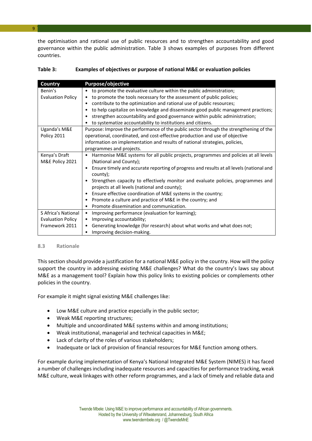the optimisation and rational use of public resources and to strengthen accountability and good governance within the public administration. Table 3 shows examples of purposes from different countries.

| Country                  | Purpose/objective                                                                                     |  |  |
|--------------------------|-------------------------------------------------------------------------------------------------------|--|--|
| Benin's                  | to promote the evaluative culture within the public administration;<br>$\bullet$                      |  |  |
| <b>Evaluation Policy</b> | to promote the tools necessary for the assessment of public policies;<br>٠                            |  |  |
|                          | contribute to the optimization and rational use of public resources;<br>٠                             |  |  |
|                          | to help capitalize on knowledge and disseminate good public management practices;<br>٠                |  |  |
|                          | strengthen accountability and good governance within public administration;<br>٠                      |  |  |
|                          | to systematize accountability to institutions and citizens.<br>٠                                      |  |  |
| Uganda's M&E             | Purpose: Improve the performance of the public sector through the strengthening of the                |  |  |
| Policy 2011              | operational, coordinated, and cost-effective production and use of objective                          |  |  |
|                          | information on implementation and results of national strategies, policies,                           |  |  |
|                          | programmes and projects.                                                                              |  |  |
| Kenya's Draft            | Harmonise M&E systems for all public projects, programmes and policies at all levels<br>٠             |  |  |
| M&E Policy 2021          | (National and County);                                                                                |  |  |
|                          | Ensure timely and accurate reporting of progress and results at all levels (national and<br>$\bullet$ |  |  |
|                          | county);                                                                                              |  |  |
|                          | Strengthen capacity to effectively monitor and evaluate policies, programmes and<br>$\bullet$         |  |  |
|                          | projects at all levels (national and county);                                                         |  |  |
|                          | Ensure effective coordination of M&E systems in the country;<br>٠                                     |  |  |
|                          | Promote a culture and practice of M&E in the country; and<br>٠                                        |  |  |
|                          | Promote dissemination and communication.<br>٠                                                         |  |  |
| S Africa's National      | Improving performance (evaluation for learning);<br>$\bullet$                                         |  |  |
| <b>Evaluation Policy</b> | Improving accountability;<br>٠                                                                        |  |  |
| Framework 2011           | Generating knowledge (for research) about what works and what does not;<br>٠                          |  |  |
|                          | Improving decision-making.<br>٠                                                                       |  |  |

#### **Table 3: Examples of objectives or purpose of national M&E or evaluation policies**

#### **8.3 Rationale**

This section should provide a justification for a national M&E policy in the country. How will the policy support the country in addressing existing M&E challenges? What do the country's laws say about M&E as a management tool? Explain how this policy links to existing policies or complements other policies in the country.

For example it might signal existing M&E challenges like:

- Low M&E culture and practice especially in the public sector;
- Weak M&E reporting structures;
- Multiple and uncoordinated M&E systems within and among institutions;
- Weak institutional, managerial and technical capacities in M&E;
- Lack of clarity of the roles of various stakeholders;
- Inadequate or lack of provision of financial resources for M&E function among others.

For example during implementation of Kenya's National Integrated M&E System (NIMES) it has faced a number of challenges including inadequate resources and capacities for performance tracking, weak M&E culture, weak linkages with other reform programmes, and a lack of timely and reliable data and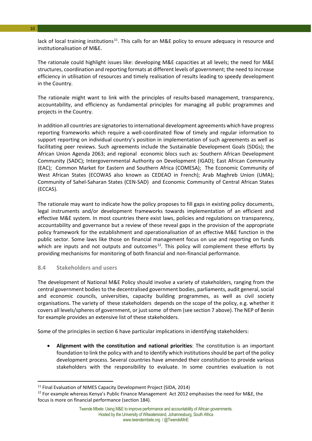lack of local training institutions<sup>11</sup>. This calls for an M&E policy to ensure adequacy in resource and institutionalisation of M&E.

The rationale could highlight issues like: developing M&E capacities at all levels; the need for M&E structures, coordination and reporting formats at different levels of government; the need to increase efficiency in utilisation of resources and timely realisation of results leading to speedy development in the Country.

The rationale might want to link with the principles of results-based management, transparency, accountability, and efficiency as fundamental principles for managing all public programmes and projects in the Country.

In addition all countries are signatories to international development agreements which have progress reporting frameworks which require a well-coordinated flow of timely and regular information to support reporting on individual country's position in implementation of such agreements as well as facilitating peer reviews. Such agreements include the Sustainable Development Goals (SDGs); the African Union Agenda 2063; and regional economic blocs such as: Southern African Development Community (SADC); Intergovernmental Authority on Development (IGAD); East African Community (EAC); Common Market for Eastern and Southern Africa (COMESA); The Economic Community of West African States (ECOWAS also known as CEDEAO in French); Arab Maghreb Union (UMA); Community of Sahel-Saharan States (CEN-SAD) and Economic Community of Central African States (ECCAS).

The rationale may want to indicate how the policy proposes to fill gaps in existing policy documents, legal instruments and/or development frameworks towards implementation of an efficient and effective M&E system. In most countries there exist laws, policies and regulations on transparency, accountability and governance but a review of these reveal gaps in the provision of the appropriate policy framework for the establishment and operationalisation of an effective M&E function in the public sector. Some laws like those on financial management focus on use and reporting on funds which are inputs and not outputs and outcomes<sup>12</sup>. This policy will complement these efforts by providing mechanisms for monitoring of both financial and non-financial performance.

#### <span id="page-10-0"></span>**8.4 Stakeholders and users**

**.** 

The development of National M&E Policy should involve a variety of stakeholders, ranging from the central government bodies to the decentralised government bodies, parliaments, audit general, social and economic councils, universities, capacity building programmes, as well as civil society organisations. The variety of these stakeholders depends on the scope of the policy, e.g. whether it covers all levels/spheres of government, or just some of them (see section 7 above). The NEP of Benin for example provides an extensive list of these stakeholders.

Some of the principles in section 6 have particular implications in identifying stakeholders:

• **Alignment with the constitution and national priorities**: The constitution is an important foundation to link the policy with and to identify which institutions should be part of the policy development process. Several countries have amended their constitution to provide various stakeholders with the responsibility to evaluate. In some countries evaluation is not

10

<span id="page-10-1"></span><sup>&</sup>lt;sup>11</sup> Final Evaluation of NIMES Capacity Development Project (SIDA, 2014)

<span id="page-10-2"></span><sup>&</sup>lt;sup>12</sup> For example whereas Kenya's Public Finance Management Act 2012 emphasises the need for M&E, the focus is more on financial performance (section 184).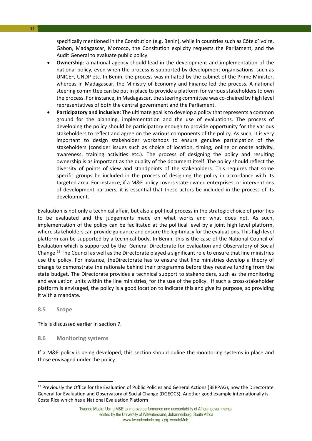specifically mentioned in the Consitution (e.g. Benin), while in countries such as Côte d'Ivoire, Gabon, Madagascar, Morocco, the Consitution explicity requests the Parliament, and the Audit General to evaluate public policy.

- **Ownership**: a national agency should lead in the development and implementation of the national policy, even when the process is supported by development organisations, such as UNICEF, UNDP etc. In Benin, the process was initiated by the cabinet of the Prime Minister, whereas in Madagascar, the Ministry of Economy and Finance led the process. A national steering committee can be put in place to provide a platform for various stakeholders to own the process. For instance, in Madagascar, the steering committee was co-chaired by high level representatives of both the central government and the Parliament.
- **Participatory and inclusive:** The ultimate goal is to develop a policy that represents a common ground for the planning, implementation and the use of evaluations. The process of developing the policy should be participatory enough to provide opportunity for the various stakeholders to reflect and agree on the various components of the policy. As such, it is very important to design stakeholder workshops to ensure genuine participation of the stakeholders (consider issues such as choice of location, timing, online or onsite activity, awareness, training activities etc.). The process of designing the policy and resulting ownership is as important as the quality of the document itself. **T**he policy should reflect the diversity of points of view and standpoints of the stakeholders. This requires that some specific groups be included in the process of designing the policy in accordance with its targeted area. For instance, if a M&E policy covers state-owned enterprises, or interventions of development partners, it is essential that these actors be included in the process of its development.

Evaluation is not only a technical affair, but also a political process in the strategic choice of priorities to be evaluated and the judgements made on what works and what does not. As such, implementation of the policy can be facilitated at the political level by a joint high level platform, where stakeholders can provide guidance and ensure the legitimacy for the evaluations. This high level platform can be supported by a technical body. In Benin, this is the case of the National Council of Evaluation which is supported by the General Directorate for Evaluation and Observatory of Social Change [13](#page-11-2) The Council as well as the Directorate played a significant role to ensure that line ministries use the policy. For instance, theDirectorate has to ensure that line ministries develop a theory of change to demonstrate the rationale behind their programms before they receive funding from the state budget. The Directorate provides a technical support to stakeholders, such as the monitoring and evaluation units within the line ministries, for the use of the policy. If such a cross-stakeholder platform is envisaged, the policy is a good location to indicate this and give its purpose, so providing it with a mandate.

#### <span id="page-11-0"></span>**8.5 Scope**

**.** 

This is discussed earlier in section 7.

#### <span id="page-11-1"></span>**8.6 Monitoring systems**

If a M&E policy is being developed, this section should ouline the monitoring systems in place and those envisaged under the policy.

<span id="page-11-2"></span><sup>&</sup>lt;sup>13</sup> Previously the Office for the Evaluation of Public Policies and General Actions (BEPPAG), now the Directorate General for Evaluation and Observatory of Social Change (DGEOCS). Another good example internationally is Costa Rica which has a National Evaluation Platform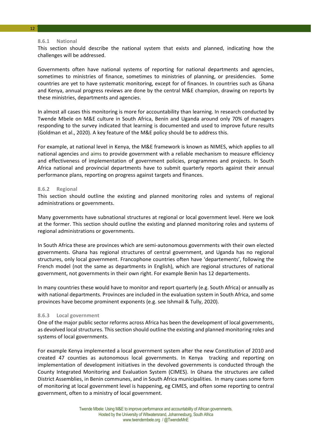#### 12

#### **8.6.1 National**

This section should describe the national system that exists and planned, indicating how the challenges will be addressed.

Governments often have national systems of reporting for national departments and agencies, sometimes to ministries of finance, sometimes to ministries of planning, or presidencies. Some countries are yet to have systematic monitoring, except for of finances. In countries such as Ghana and Kenya, annual progress reviews are done by the central M&E champion, drawing on reports by these ministries, departments and agencies.

In almost all cases this monitoring is more for accountability than learning. In research conducted by Twende Mbele on M&E culture in South Africa, Benin and Uganda around only 70% of managers responding to the survey indicated that learning is documented and used to improve future results (Goldman et al., 2020). A key feature of the M&E policy should be to address this.

For example, at national level in Kenya, the M&E framework is known as NIMES, which applies to all national agencies and aims to provide government with a reliable mechanism to measure efficiency and effectiveness of implementation of government policies, programmes and projects. In South Africa national and provincial departments have to submit quarterly reports against their annual performance plans, reporting on progress against targets and finances.

#### **8.6.2 Regional**

This section should outline the existing and planned monitoring roles and systems of regional administrations or governments.

Many governments have subnational structures at regional or local government level. Here we look at the former. This section should outline the existing and planned monitoring roles and systems of regional administrations or governments.

In South Africa these are provinces which are semi-autonomous governments with their own elected governments. Ghana has regional structures of central government, and Uganda has no regional structures, only local government. Francophone countries often have 'departements', following the French model (not the same as departments in English), which are regional structures of national government, not governments in their own right. For example Benin has 12 departements.

In many countries these would have to monitor and report quarterly (e.g. South Africa) or annually as with national departments. Provinces are included in the evaluation system in South Africa, and some provinces have become prominent exponents (e.g. see Ishmail & Tully, 2020).

#### **8.6.3 Local government**

One of the major public sector reforms across Africa has been the development of local governments, as devolved local structures. This section should outline the existing and planned monitoring roles and systems of local governments.

For example Kenya implemented a local government system after the new Constitution of 2010 and created 47 counties as autonomous local governments. In Kenya tracking and reporting on implementation of development initiatives in the devolved governments is conducted through the County Integrated Monitoring and Evaluation System (CIMES). In Ghana the structures are called District Assemblies, in Benin communes, and in South Africa municipalities. In many cases some form of monitoring at local government level is happening, eg CIMES, and often some reporting to central government, often to a ministry of local government.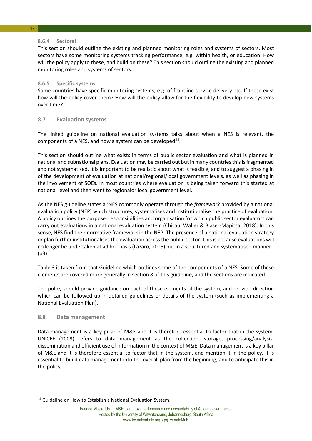#### **8.6.4 Sectoral**

This section should outline the existing and planned monitoring roles and systems of sectors. Most sectors have some monitoring systems tracking performance, e.g. within health, or education. How will the policy apply to these, and build on these? This section should outline the existing and planned monitoring roles and systems of sectors.

#### **8.6.5 Specific systems**

Some countries have specific monitoring systems, e.g. of frontline service delivery etc. If these exist how will the policy cover them? How will the policy allow for the flexibility to develop new systems over time?

#### <span id="page-13-0"></span>**8.7 Evaluation systems**

The linked guideline on national evaluation systems talks about when a NES is relevant, the components of a NES, and how a system can be developed<sup>[14](#page-13-2)</sup>.

This section should outline what exists in terms of public sector evaluation and what is planned in national and subnational plans. Evaluation may be carried out but in many countries this is fragmented and not systematised. It is important to be realistic about what is feasible, and to suggest a phasing in of the development of evaluation at national/regional/local government levels, as well as phasing in the involvement of SOEs. In most countries where evaluation is being taken forward this started at national level and then went to regionalor local government level.

As the NES guideline states a 'NES commonly operate through the *framework* provided by a national evaluation policy (NEP) which structures, systematises and institutionalise the practice of evaluation. A policy outlines the purpose, responsibilities and organisation for which public sector evaluators can carry out evaluations in a national evaluation system (Chirau, Waller & Blaser-Mapitsa, 2018). In this sense, NES find their normative framework in the NEP. The presence of a national evaluation strategy or plan further institutionalises the evaluation across the public sector. This is because evaluations will no longer be undertaken at ad hoc basis (Lazaro, 2015) but in a structured and systematised manner.' (p3).

Table 3 is taken from that Guideline which outlines some of the components of a NES. Some of these elements are covered more generally in section 8 of this guideline, and the sections are indicated.

The policy should provide guidance on each of these elements of the system, and provide direction which can be followed up in detailed guidelines or details of the system (such as implementing a National Evaluation Plan).

#### <span id="page-13-1"></span>**8.8 Data management**

**.** 

Data management is a key pillar of M&E and it is therefore essential to factor that in the system. UNICEF (2009) refers to data management as the collection, storage, processing/analysis, dissemination and efficient use of information in the context of M&E. Data management is a key pillar of M&E and it is therefore essential to factor that in the system, and mention it in the policy. It is essential to build data management into the overall plan from the beginning, and to anticipate this in the policy.

<span id="page-13-2"></span><sup>&</sup>lt;sup>14</sup> Guideline on How to Establish a National Evaluation System,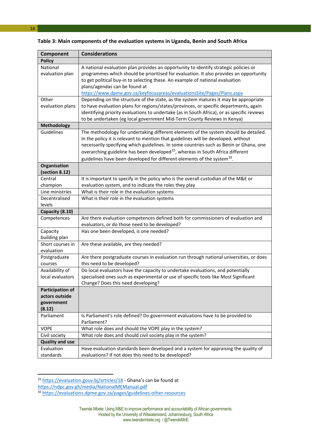| Component                      | <b>Considerations</b>                                                                                                                                                                |  |
|--------------------------------|--------------------------------------------------------------------------------------------------------------------------------------------------------------------------------------|--|
| <b>Policy</b>                  |                                                                                                                                                                                      |  |
| National                       | A national evaluation plan provides an opportunity to identify strategic policies or                                                                                                 |  |
| evaluation plan                | programmes which should be prioritised for evaluation. It also provides an opportunity                                                                                               |  |
|                                | to get political buy-in to selecting these. An example of national evaluation                                                                                                        |  |
|                                | plans/agendas can be found at                                                                                                                                                        |  |
|                                | https://www.dpme.gov.za/keyfocusareas/evaluationsSite/Pages/Plans.aspx                                                                                                               |  |
| Other                          | Depending on the structure of the state, as the system matures it may be appropriate                                                                                                 |  |
| evaluation plans               | to have evaluation plans for regions/states/provinces, or specific departments, again                                                                                                |  |
|                                | identifying priority evaluations to undertake (as in South Africa), or as specific reviews                                                                                           |  |
|                                | to be undertaken (eg local government Mid-Term County Reviews in Kenya)                                                                                                              |  |
| Methodology                    |                                                                                                                                                                                      |  |
| Guidelines                     | The methodology for undertaking different elements of the system should be detailed.                                                                                                 |  |
|                                | In the policy it is relevant to mention that guidelines will be developed, without                                                                                                   |  |
|                                | necessarily specifying which guidelines. In some countries such as Benin or Ghana, one<br>overarching guideline has been developed <sup>15</sup> , whereas in South Africa different |  |
|                                |                                                                                                                                                                                      |  |
|                                | guidelines have been developed for different elements of the system <sup>16</sup> .                                                                                                  |  |
| Organisation<br>(section 8.12) |                                                                                                                                                                                      |  |
| Central                        | It is important to specify in the policy who is the overall custodian of the M&E or                                                                                                  |  |
| champion                       | evaluation system, and to indicate the roles they play                                                                                                                               |  |
| Line ministries                | What is their role in the evaluation systems                                                                                                                                         |  |
| Decentralised                  | What is their role in the evaluation systems                                                                                                                                         |  |
| levels                         |                                                                                                                                                                                      |  |
| Capacity (8.10)                |                                                                                                                                                                                      |  |
| Competences                    | Are there evaluation competences defined both for commissioners of evaluation and                                                                                                    |  |
|                                | evaluators, or do those need to be developed?                                                                                                                                        |  |
| Capacity                       | Has one been developed, is one needed?                                                                                                                                               |  |
| building plan                  |                                                                                                                                                                                      |  |
| Short courses in               | Are these available, are they needed?                                                                                                                                                |  |
| evaluation                     |                                                                                                                                                                                      |  |
| Postgraduate                   | Are there postgraduate courses in evaluation run through national universities, or does                                                                                              |  |
| courses                        | this need to be developed?                                                                                                                                                           |  |
| Availability of                | Do local evaluators have the capacity to undertake evaluations, and potentially                                                                                                      |  |
| local evaluators               | specialised ones such as experimental or use of specific tools like Most Significant                                                                                                 |  |
|                                | Change? Does this need developing?                                                                                                                                                   |  |
| <b>Participation of</b>        |                                                                                                                                                                                      |  |
| actors outside                 |                                                                                                                                                                                      |  |
| government                     |                                                                                                                                                                                      |  |
| (8.12)                         |                                                                                                                                                                                      |  |
| Parliament                     | Is Parliament's role defined? Do government evaluations have to be provided to<br>Parliament?                                                                                        |  |
| <b>VOPE</b>                    | What role does and should the VOPE play in the system?                                                                                                                               |  |
| Civil society                  | What role does and should civil society play in the system?                                                                                                                          |  |
| <b>Quality and use</b>         |                                                                                                                                                                                      |  |
| Evaluation                     | Have evaluation standards been developed and a system for appraising the quality of                                                                                                  |  |
| standards                      | evaluations? If not does this need to be developed?                                                                                                                                  |  |
|                                |                                                                                                                                                                                      |  |

**Table 3: Main components of the evaluation systems in Uganda, Benin and South Africa**

**.** 

<sup>&</sup>lt;sup>15</sup> <https://evaluation.gouv.bj/articles/18>- Ghana's can be found at

<span id="page-14-0"></span><https://ndpc.gov.gh/media/NationalMEManual.pdf>

<span id="page-14-1"></span><sup>16</sup> <https://evaluations.dpme.gov.za/pages/guidelines-other-resources>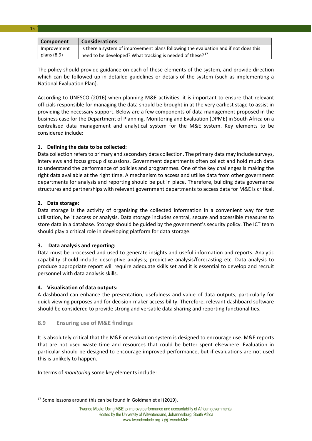| Component   | <b>Considerations</b>                                                                |
|-------------|--------------------------------------------------------------------------------------|
| Improvement | Is there a system of improvement plans following the evaluation and if not does this |
| plans (8.9) | need to be developed? What tracking is needed of these? <sup>17</sup>                |

The policy should provide guidance on each of these elements of the system, and provide direction which can be followed up in detailed guidelines or details of the system (such as implementing a National Evaluation Plan).

According to UNESCO (2016) when planning M&E activities, it is important to ensure that relevant officials responsible for managing the data should be brought in at the very earliest stage to assist in providing the necessary support. Below are a few components of data management proposed in the business case for the Department of Planning, Monitoring and Evaluation (DPME) in South Africa on a centralised data management and analytical system for the M&E system. Key elements to be considered include:

#### **1. Defining the data to be collected:**

Data collection refers to primary and secondary data collection. The primary data may include surveys, interviews and focus group discussions. Government departments often collect and hold much data to understand the performance of policies and programmes. One of the key challenges is making the right data available at the right time. A mechanism to access and utilise data from other government departments for analysis and reporting should be put in place. Therefore, building data governance structures and partnerships with relevant government departments to access data for M&E is critical.

#### **2. Data storage:**

**.** 

15

Data storage is the activity of organising the collected information in a convenient way for fast utilisation, be it access or analysis. Data storage includes central, secure and accessible measures to store data in a database. Storage should be guided by the government's security policy. The ICT team should play a critical role in developing platform for data storage.

#### **3. Data analysis and reporting:**

Data must be processed and used to generate insights and useful information and reports. Analytic capability should include descriptive analysis; predictive analysis/forecasting etc. Data analysis to produce appropriate report will require adequate skills set and it is essential to develop and recruit personnel with data analysis skills.

#### **4. Visualisation of data outputs:**

A dashboard can enhance the presentation, usefulness and value of data outputs, particularly for quick viewing purposes and for decision-maker accessibility. Therefore, relevant dashboard software should be considered to provide strong and versatile data sharing and reporting functionalities.

#### <span id="page-15-0"></span>**8.9 Ensuring use of M&E findings**

It is absolutely critical that the M&E or evaluation system is designed to encourage use. M&E reports that are not used waste time and resources that could be better spent elsewhere. Evaluation in particular should be designed to encourage improved performance, but if evaluations are not used this is unlikely to happen.

In terms of *monitoring* some key elements include:

<span id="page-15-1"></span> $17$  Some lessons around this can be found in Goldman et al (2019).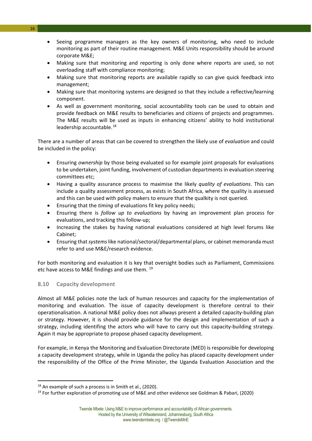- Seeing programme managers as the key owners of monitoring, who need to include monitoring as part of their routine management. M&E Units responsibility should be around corporate M&E;
- Making sure that monitoring and reporting is only done where reports are used, so not overloading staff with compliance monitoring;
- Making sure that monitoring reports are available rapidly so can give quick feedback into management;
- Making sure that monitoring systems are designed so that they include a reflective/learning component.
- As well as government monitoring, social accountability tools can be used to obtain and provide feedback on M&E results to beneficiaries and citizens of projects and programmes. The M&E results will be used as inputs in enhancing citizens' ability to hold institutional leadership accountable.<sup>[18](#page-16-1)</sup>

There are a number of areas that can be covered to strengthen the likely use of *evaluation* and could be included in the policy:

- Ensuring *ownership* by those being evaluated so for example joint proposals for evaluations to be undertaken, joint funding, involvement of custodian departments in evaluation steering committees etc;
- Having a quality assurance process to maximise the likely *quality of evaluations*. This can include a quality assessment process, as exists in South Africa, where the quality is assessed and this can be used with policy makers to ensure that the qualkity is not queried.
- Ensuring that the *timing* of evaluations fit key policy needs;
- Ensuring there is *follow up to evaluations* by having an improvement plan process for evaluations, and tracking this follow-up;
- Increasing the stakes by having national evaluations considered at high level forums like Cabinet;
- Ensuring that *systems*like national/sectoral/departmental plans, or cabinet memoranda must refer to and use M&E/research evidence.

For both monitoring and evaluation it is key that oversight bodies such as Parliament, Commissions etc have access to M&E findings and use them. <sup>[19](#page-16-2)</sup>

#### <span id="page-16-0"></span>**8.10 Capacity development**

 $\overline{a}$ 

Almost all M&E policies note the lack of human resources and capacity for the implementation of monitoring and evaluation. The issue of capacity development is therefore central to their operationalisation. A national M&E policy does not allways present a detailed capacity-building plan or strategy. However, it is should provide guidance for the design and implementation of such a strategy, including identifing the actors who will have to carry out this capacity-building strategy. Again it may be appropriate to propose phased capacity development.

For example, in Kenya the Monitoring and Evaluation Directorate (MED) is responsible for developing a capacity development strategy, while in Uganda the policy has placed capacity development under the responsibility of the Office of the Prime Minister, the Uganda Evaluation Association and the

<span id="page-16-2"></span><span id="page-16-1"></span><sup>&</sup>lt;sup>18</sup> An example of such a process is in Smith et al., (2020).<br><sup>19</sup> For further exploration of promoting use of M&E and other evidence see Goldman & Pabari, (2020)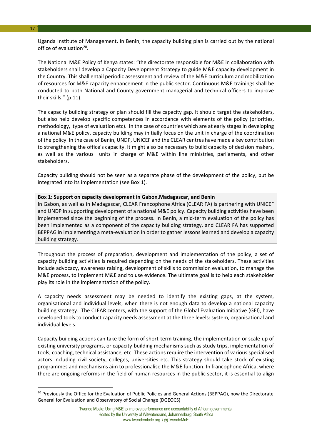Uganda Institute of Management. In Benin, the capacity building plan is carried out by the national office of evaluation $^{20}$ .

The National M&E Policy of Kenya states: "the directorate responsible for M&E in collaboration with stakeholders shall develop a Capacity Development Strategy to guide M&E capacity development in the Country. This shall entail periodic assessment and review of the M&E curriculum and mobilization of resources for M&E capacity enhancement in the public sector. Continuous M&E trainings shall be conducted to both National and County government managerial and technical officers to improve their skills." (p.11).

The capacity building strategy or plan should fill the capacity gap. It should target the stakeholders, but also help develop specific competences in accordance with elements of the policy (priorities, methodology, type of evaluation etc). In the case of countries which are at early stages in developing a national M&E policy, capacity building may initially focus on the unit in charge of the coordination of the policy. In the case of Benin, UNDP, UNICEF and the CLEAR centres have made a key contribution to strengthening the office's capacity. It might also be necessary to build capacity of decision makers, as well as the various units in charge of M&E within line ministries, parliaments, and other stakeholders.

Capacity building should not be seen as a separate phase of the development of the policy, but be integrated into its implementation (see Box 1).

#### **Box 1: Support on capacity development in Gabon,Madagascar, and Benin**

In Gabon, as well as in Madagascar, CLEAR Francophone Africa (CLEAR FA) is partnering with UNICEF and UNDP in supporting development of a national M&E policy. Capacity building activities have been implemented since the beginning of the process. In Benin, a mid-term evaluation of the policy has been implemented as a component of the capacity building strategy, and CLEAR FA has supported BEPPAG in implementing a meta-evaluation in order to gather lessons learned and develop a capacity building strategy.

Throughout the process of preparation, development and implementation of the policy, a set of capacity building activities is required depending on the needs of the stakeholders. These activities include advocacy, awareness raising, development of skills to commission evaluation, to manage the M&E process, to implement M&E and to use evidence. The ultimate goal is to help each stakeholder play its role in the implementation of the policy.

A capacity needs assessment may be needed to identify the existing gaps, at the system, organisational and individual levels, when there is not enough data to develop a national capacity building strategy. The CLEAR centers, with the support of the Global Evaluation Initiative (GEI), have developed tools to conduct capacity needs assessment at the three levels: system, organisational and individual levels.

Capacity building actions can take the form of short-term training, the implementation or scale-up of existing university programs, or capacity-building mechanisms such as study trips, implementation of tools, coaching, technical assistance, etc. These actions require the intervention of various specialised actors including civil society, colleges, universities etc. This strategy should take stock of existing programmes and mechanisms aim to professionalise the M&E function. In francophone Africa, where there are ongoing reforms in the field of human resources in the public sector, it is essential to align

17

<u>.</u>

<span id="page-17-0"></span><sup>&</sup>lt;sup>20</sup> Previously the Office for the Evaluation of Public Policies and General Actions (BEPPAG), now the Directorate General for Evaluation and Observatory of Social Change (DGEOCS)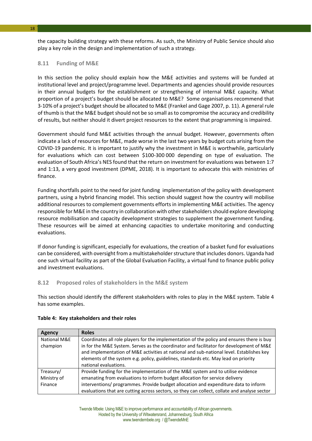the capacity building strategy with these reforms. As such, the Ministry of Public Service should also play a key role in the design and implementation of such a strategy.

#### <span id="page-18-0"></span>**8.11 Funding of M&E**

In this section the policy should explain how the M&E activities and systems will be funded at institutional level and project/programme level. Departments and agencies should provide resources in their annual budgets for the establishment or strengthening of internal M&E capacity. What proportion of a project's budget should be allocated to M&E? Some organisations recommend that 3-10% of a project's budget should be allocated to M&E (Frankel and Gage 2007, p. 11). A general rule of thumb is that the M&E budget should not be so small as to compromise the accuracy and credibility of results, but neither should it divert project resources to the extent that programming is impaired.

Government should fund M&E activities through the annual budget. However, governments often indicate a lack of resources for M&E, made worse in the last two years by budget cuts arising from the COVID-19 pandemic. It is important to justify why the investment in M&E is worthwhile, particularly for evaluations which can cost between \$100-300 000 depending on type of evaluation. The evaluation of South Africa's NES found that the return on investment for evaluations was between 1:7 and 1:13, a very good investment (DPME, 2018). It is important to advocate this with ministries of finance.

Funding shortfalls point to the need for joint funding implementation of the policy with development partners, using a hybrid financing model. This section should suggest how the country will mobilise additional resources to complement governments efforts in implementing M&E activities. The agency responsible for M&E in the country in collaboration with other stakeholders should explore developing resource mobilisation and capacity development strategies to supplement the government funding. These resources will be aimed at enhancing capacities to undertake monitoring and conducting evaluations.

If donor funding is significant, especially for evaluations, the creation of a basket fund for evaluations can be considered, with oversight from a multistakeholder structure that includes donors. Uganda had one such virtual facility as part of the Global Evaluation Facility, a virtual fund to finance public policy and investment evaluations.

#### <span id="page-18-1"></span>**8.12 Proposed roles of stakeholders in the M&E system**

This section should identify the different stakeholders with roles to play in the M&E system. Table 4 has some examples.

| Agency       | <b>Roles</b>                                                                                 |
|--------------|----------------------------------------------------------------------------------------------|
| National M&E | Coordinates all role players for the implementation of the policy and ensures there is buy   |
| champion     | in for the M&E System. Serves as the coordinator and facilitator for development of M&E      |
|              | and implementation of M&E activities at national and sub-national level. Establishes key     |
|              | elements of the system e.g. policy, guidelines, standards etc. May lead on priority          |
|              | national evaluations.                                                                        |
| Treasury/    | Provide funding for the implementation of the M&E system and to utilise evidence             |
| Ministry of  | emanating from evaluations to inform budget allocation for service delivery                  |
| Finance      | interventions/ programmes. Provide budget allocation and expenditure data to inform          |
|              | evaluations that are cutting across sectors, so they can collect, collate and analyse sector |

#### **Table 4: Key stakeholders and their roles**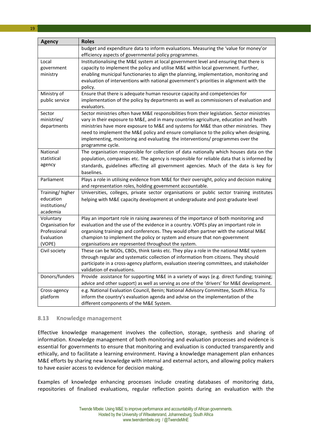| <b>Agency</b>                                                         | <b>Roles</b>                                                                                                                                                                                                                                                                                                                                                                                                                                                                |
|-----------------------------------------------------------------------|-----------------------------------------------------------------------------------------------------------------------------------------------------------------------------------------------------------------------------------------------------------------------------------------------------------------------------------------------------------------------------------------------------------------------------------------------------------------------------|
|                                                                       | budget and expenditure data to inform evaluations. Measuring the 'value for money'or<br>efficiency aspects of governmental policy programmes.                                                                                                                                                                                                                                                                                                                               |
| Local<br>government<br>ministry                                       | Institutionalising the M&E system at local government level and ensuring that there is<br>capacity to implement the policy and utilise M&E within local government. Further,<br>enabling municipal functionaries to align the planning, implementation, monitoring and<br>evaluation of interventions with national government's priorities in alignment with the<br>policy.                                                                                                |
| Ministry of<br>public service                                         | Ensure that there is adequate human resource capacity and competencies for<br>implementation of the policy by departments as well as commissioners of evaluation and<br>evaluators.                                                                                                                                                                                                                                                                                         |
| Sector<br>ministries/<br>departments                                  | Sector ministries often have M&E responsibilities from their legislation. Sector ministries<br>vary in their exposure to M&E, and in many countries agriculture, education and health<br>ministries have more exposure to M&E and systems for M&E than other ministries. They<br>need to implement the M&E policy and ensure compliance to the policy when designing,<br>implementing, monitoring and evaluating the interventions/ programmes over the<br>programme cycle. |
| National<br>statistical<br>agency                                     | The organisation responsible for collection of data nationally which houses data on the<br>population, companies etc. The agency is responsible for reliable data that is informed by<br>standards, guidelines affecting all government agencies. Much of the data is key for<br>baselines.                                                                                                                                                                                 |
| Parliament                                                            | Plays a role in utilising evidence from M&E for their oversight, policy and decision making<br>and representation roles, holding government accountable.                                                                                                                                                                                                                                                                                                                    |
| Training/higher<br>education<br>institutions/<br>academia             | Universities, colleges, private sector organisations or public sector training institutes<br>helping with M&E capacity development at undergraduate and post-graduate level                                                                                                                                                                                                                                                                                                 |
| Voluntary<br>Organisation for<br>Professional<br>Evaluation<br>(VOPE) | Play an important role in raising awareness of the importance of both monitoring and<br>evaluation and the use of the evidence in a country. VOPEs play an important role in<br>organising trainings and conferences. They would often partner with the national M&E<br>champion to implement the policy or system and ensure that non-government<br>organisations are represented throughout the system.                                                                   |
| Civil society                                                         | These can be NGOs, CBOs, think tanks etc. They play a role in the national M&E system<br>through regular and systematic collection of information from citizens. They should<br>participate in a cross-agency platform, evaluation steering committees, and stakeholder<br>validation of evaluations.                                                                                                                                                                       |
| Donors/funders                                                        | Provide assistance for supporting M&E in a variety of ways (e.g. direct funding; training;<br>advice and other support) as well as serving as one of the 'drivers' for M&E development.                                                                                                                                                                                                                                                                                     |
| Cross-agency<br>platform                                              | e.g. National Evaluation Council, Benin; National Advisory Committee, South Africa. To<br>inform the country's evaluation agenda and advise on the implementation of the<br>different components of the M&E System.                                                                                                                                                                                                                                                         |

#### <span id="page-19-0"></span>**8.13 Knowledge management**

Effective knowledge management involves the collection, storage, synthesis and sharing of information. Knowledge management of both monitoring and evaluation processes and evidence is essential for governments to ensure that monitoring and evaluation is conducted transparently and ethically, and to facilitate a learning environment. Having a knowledge management plan enhances M&E efforts by sharing new knowledge with internal and external actors, and allowing policy makers to have easier access to evidence for decision making.

Examples of knowledge enhancing processes include creating databases of monitoring data, repositories of finalised evaluations, regular reflection points during an evaluation with the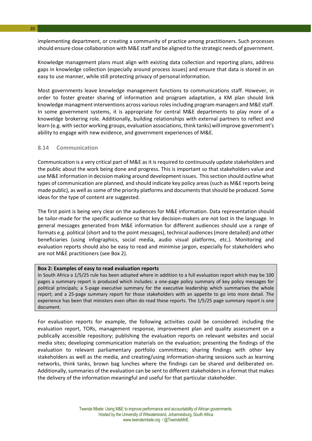implementing department, or creating a community of practice among practitioners. Such processes should ensure close collaboration with M&E staff and be aligned to the strategic needs of government.

Knowledge management plans must align with existing data collection and reporting plans, address gaps in knowledge collection (especially around process issues) and ensure that data is stored in an easy to use manner, while still protecting privacy of personal information.

Most governments leave knowledge management functions to communications staff. However, in order to foster greater sharing of information and program adaptation, a KM plan should link knowledge managment interventions across various roles including program managers and M&E staff. In some government systems, it is appropriate for central M&E departments to play more of a knoweldge brokering role. Additionally, building relationships with external partners to reflect and learn (e.g. with sector working groups, evaluation associations, think tanks) will improve government's ability to engage with new evidence, and government experiences of M&E.

#### <span id="page-20-0"></span>**8.14 Communication**

Communication is a very critical part of M&E as it is required to continuously update stakeholders and the public about the work being done and progress. This is important so that stakeholders value and use M&E information in decision making around development issues. This section should outline what types of communication are planned, and should indicate key policy areas (such as M&E reports being made public), as well as some of the priority platforms and documents that should be produced. Some ideas for the type of content are suggested.

The first point is being very clear on the audiences for M&E information. Data representation should be tailor-made for the specific audience so that key decision-makers are not lost in the language. In general messages generated from M&E information for different audiences should use a range of formats e.g. political (short and to the point messages), technical audiences (more detailed) and other beneficiaries (using infographics, social media, audio visual platforms, etc.). Monitoring and evaluation reports should also be easy to read and minimise jargon, especially for stakeholders who are not M&E practitioners (see Box 2).

#### **Box 2: Examples of easy to read evaluation reports**

In South Africa a 1/5/25 rule has been adopted where in addition to a full evaluation report which may be 100 pages a summary report is produced which includes: a one-page policy summary of key policy messages for political principals; a 5-page executive summary for the executive leadership which summarises the whole report; and a 25-page summary report for those stakeholders with an appetite to go into more detail. The experience has been that ministers even often do read these reports. The 1/5/25 page summary report is one document.

For evaluation reports for example, the following activities could be considered: including the evaluation report, TORs, management response, improvement plan and quality assessment on a publically accessible repository; publishing the evaluation reports on relevant websites and social media sites; developing communication materials on the evaluation; presenting the findings of the evaluation to relevant parliamentary portfolio committees; sharing findings with other key stakeholders as well as the media, and creating/using information-sharing sessions such as learning networks, think tanks, brown bag lunches where the findings can be shared and deliberated on. Additionally, summaries of the evaluation can be sent to different stakeholders in a format that makes the delivery of the information meaningful and useful for that particular stakeholder.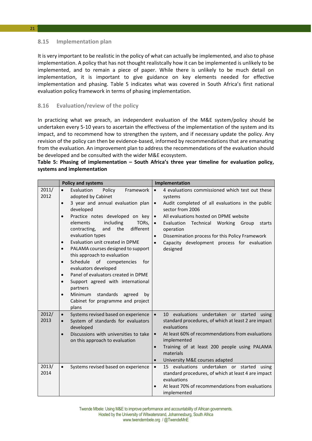#### <span id="page-21-0"></span>**8.15 Implementation plan**

21

It is very important to be realistic in the policy of what can actually be implemented, and also to phase implementation. A policy that has not thought realistcally how it can be implemented is unlikely to be implemented, and to remain a piece of paper. While there is unlikely to be much detail on implementation, it is important to give guidance on key elements needed for effective implementation and phasing. Table 5 indicates what was covered in South Africa's first national evaluation policy framework in terms of phasing implementation.

#### <span id="page-21-1"></span>**8.16 Evaluation/review of the policy**

In practicing what we preach, an independent evaluation of the M&E system/policy should be undertaken every 5-10 years to ascertain the effectivess of the implementation of the system and its impact, and to recommend how to strengthen the system, and if necessary update the policy. Any revision of the policy can then be evidence-based, informed by recommendations that are emanating from the evaluation. An improvement plan to address the recommendations of the evaluation should be developed and be consulted with the wider M&E ecosystem.

#### **Table 5: Phasing of implementation – South Africa's three year timeline for evaluation policy, systems and implementation**

|               | <b>Policy and systems</b>                                                                                                                                                                                                                                                                                                                                                                                                                                                                                                                                                                                                                                                                                                 | Implementation                                                                                                                                                                                                                                                                                                                                                                                                                           |
|---------------|---------------------------------------------------------------------------------------------------------------------------------------------------------------------------------------------------------------------------------------------------------------------------------------------------------------------------------------------------------------------------------------------------------------------------------------------------------------------------------------------------------------------------------------------------------------------------------------------------------------------------------------------------------------------------------------------------------------------------|------------------------------------------------------------------------------------------------------------------------------------------------------------------------------------------------------------------------------------------------------------------------------------------------------------------------------------------------------------------------------------------------------------------------------------------|
| 2011/<br>2012 | Evaluation<br>$\bullet$<br>Policy<br>Framework<br>adopted by Cabinet<br>3 year and annual evaluation plan<br>$\bullet$<br>developed<br>Practice notes developed on key<br>$\bullet$<br>including<br>elements<br>TORs,<br>and<br>the<br>contracting,<br>different<br>evaluation types<br>Evaluation unit created in DPME<br>$\bullet$<br>PALAMA courses designed to support<br>$\bullet$<br>this approach to evaluation<br>Schedule<br>of<br>competencies<br>for<br>$\bullet$<br>evaluators developed<br>Panel of evaluators created in DPME<br>$\bullet$<br>Support agreed with international<br>$\bullet$<br>partners<br>standards<br>Minimum<br>agreed<br>by<br>$\bullet$<br>Cabinet for programme and project<br>plans | 4 evaluations commissioned which test out these<br>$\bullet$<br>systems<br>Audit completed of all evaluations in the public<br>$\bullet$<br>sector from 2006<br>All evaluations hosted on DPME website<br>$\bullet$<br>Evaluation<br>Technical Working Group<br>starts<br>$\bullet$<br>operation<br>Dissemination process for this Policy Framework<br>$\bullet$<br>Capacity development process for evaluation<br>$\bullet$<br>designed |
| 2012/<br>2013 | Systems revised based on experience<br>$\bullet$<br>System of standards for evaluators<br>developed<br>Discussions with universities to take<br>$\bullet$<br>on this approach to evaluation                                                                                                                                                                                                                                                                                                                                                                                                                                                                                                                               | 10 evaluations undertaken or started<br>$\bullet$<br>using<br>standard procedures, of which at least 2 are impact<br>evaluations<br>At least 60% of recommendations from evaluations<br>$\bullet$<br>implemented<br>Training of at least 200 people using PALAMA<br>$\bullet$<br>materials<br>University M&E courses adapted<br>$\bullet$                                                                                                |
| 2013/<br>2014 | Systems revised based on experience                                                                                                                                                                                                                                                                                                                                                                                                                                                                                                                                                                                                                                                                                       | 15 evaluations undertaken or started<br>using<br>$\bullet$<br>standard procedures, of which at least 4 are impact<br>evaluations<br>At least 70% of recommendations from evaluations<br>$\bullet$<br>implemented                                                                                                                                                                                                                         |

Twende Mbele: Using M&E to improve performance and accountability of African governments. Hosted by the University of Witwatersrand, Johannesburg, South Africa www.twendembele.org / @TwendeMnE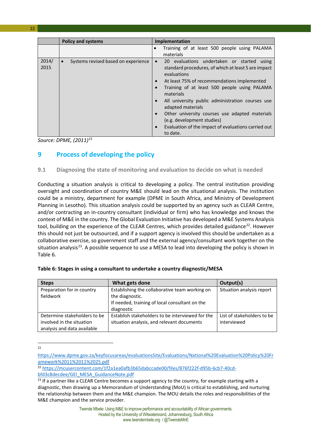|               | <b>Policy and systems</b>                        | <b>Implementation</b>                                                                                                                                                                                                                                                                                                                                                                                                                                                                                                                  |
|---------------|--------------------------------------------------|----------------------------------------------------------------------------------------------------------------------------------------------------------------------------------------------------------------------------------------------------------------------------------------------------------------------------------------------------------------------------------------------------------------------------------------------------------------------------------------------------------------------------------------|
|               |                                                  | Training of at least 500 people using PALAMA<br>materials                                                                                                                                                                                                                                                                                                                                                                                                                                                                              |
| 2014/<br>2015 | Systems revised based on experience<br>$\bullet$ | 20 evaluations undertaken or started using<br>$\bullet$<br>standard procedures, of which at least 5 are impact<br>evaluations<br>At least 75% of recommendations implemented<br>$\bullet$<br>Training of at least 500 people using PALAMA<br>$\bullet$<br>materials<br>All university public administration courses use<br>$\bullet$<br>adapted materials<br>Other university courses use adapted materials<br>$\bullet$<br>(e.g. development studies)<br>Evaluation of the impact of evaluations carried out<br>$\bullet$<br>to date. |

<span id="page-22-0"></span>*Source: DPME, (2011)[21](#page-22-2)*

#### **9 Process of developing the policy**

#### <span id="page-22-1"></span>**9.1 Diagnosing the state of monitoring and evaluation to decide on what is needed**

Conducting a situation analysis is critical to developing a policy. The central institution providing oversight and coordination of country M&E should lead on the situational analysis. The institution could be a ministry, department for example (DPME in South Africa, and Ministry of Development Planning in Lesotho). This situation analysis could be supported by an agency such as CLEAR Centre, and/or contracting an in-country consultant (individual or firm) who has knowledge and knows the context of M&E in the country. The Global Evaluation Initiative has developed a M&E Systems Analysis tool, building on the experience of the CLEAR Centres, which provides detailed guidance<sup>[22](#page-22-3)</sup>. However this should not just be outsourced, and if a support agency is involved this should be undertaken as a collaborative exercise, so government staff and the external agency/consultant work together on the situation analysis<sup>[23](#page-22-4)</sup>. A possible sequence to use a MESA to lead into developing the policy is shown in Table 6.

| <b>Steps</b>                            | What gets done                                                    | Output(s)                  |
|-----------------------------------------|-------------------------------------------------------------------|----------------------------|
| Preparation for in country<br>fieldwork | Establishing the collaborative team working on                    | Situation analysis report  |
|                                         | the diagnostic.<br>If needed, training of local consultant on the |                            |
|                                         | diagnostic                                                        |                            |
| Determine stakeholders to be            | Establish stakeholders to be interviewed for the                  | List of stakeholders to be |
| involved in the situation               | situation analysis, and relevant documents                        | interviewed                |
| analysis and data available             |                                                                   |                            |

|  |  | Table 6: Stages in using a consultant to undertake a country diagnostic/MESA |  |  |
|--|--|------------------------------------------------------------------------------|--|--|
|--|--|------------------------------------------------------------------------------|--|--|

 $\frac{1}{21}$ 

<span id="page-22-2"></span>[https://www.dpme.gov.za/keyfocusareas/evaluationsSite/Evaluations/National%20Evaluation%20Policy%20Fr](https://www.dpme.gov.za/keyfocusareas/evaluationsSite/Evaluations/National%20Evaluation%20Policy%20Framework%2011%2011%2025.pdf) [amework%2011%2011%2025.pdf](https://www.dpme.gov.za/keyfocusareas/evaluationsSite/Evaluations/National%20Evaluation%20Policy%20Framework%2011%2011%2025.pdf)

<span id="page-22-3"></span><sup>22</sup> [https://mcusercontent.com/1f2a1ea0afb3b65dabccade00/files/876f222f-d95b-6cb7-40cd](https://mcusercontent.com/1f2a1ea0afb3b65dabccade00/files/876f222f-d95b-6cb7-40cd-bfd3c8decdee/GEI_MESA_GuidanceNote.pdf)[bfd3c8decdee/GEI\\_MESA\\_GuidanceNote.pdf](https://mcusercontent.com/1f2a1ea0afb3b65dabccade00/files/876f222f-d95b-6cb7-40cd-bfd3c8decdee/GEI_MESA_GuidanceNote.pdf)

<span id="page-22-4"></span><sup>&</sup>lt;sup>23</sup> If a partner like a CLEAR Centre becomes a support agency to the country, for example starting with a diagnostic, then drawing up a Memorandum of Understanding (MoU) is critical to establishing, and nurturing the relationship between them and the M&E champion. The MOU details the roles and responsibilities of the M&E champion and the service provider.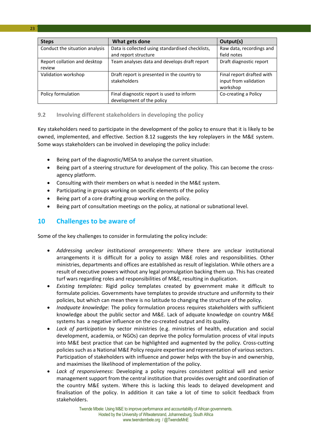| <b>Steps</b>                           | What gets done                                                           | Output(s)                                                      |
|----------------------------------------|--------------------------------------------------------------------------|----------------------------------------------------------------|
| Conduct the situation analysis         | Data is collected using standardised checklists,<br>and report structure | Raw data, recordings and<br>field notes                        |
| Report collation and desktop<br>review | Team analyses data and develops draft report                             | Draft diagnostic report                                        |
| Validation workshop                    | Draft report is presented in the country to<br>stakeholders              | Final report drafted with<br>input from validation<br>workshop |
| Policy formulation                     | Final diagnostic report is used to inform<br>development of the policy   | Co-creating a Policy                                           |

#### <span id="page-23-0"></span>**9.2 Involving different stakeholders in developing the policy**

Key stakeholders need to participate in the development of the policy to ensure that it is likely to be owned, implemented, and effective. Section 8.12 suggests the key roleplayers in the M&E system. Some ways stakeholders can be involved in developing the policy include:

- Being part of the diagnostic/MESA to analyse the current situation.
- Being part of a steering structure for development of the policy. This can become the crossagency platform.
- Consulting with their members on what is needed in the M&E system.
- Participating in groups working on specific elements of the policy
- Being part of a core drafting group working on the policy.
- Being part of consultation meetings on the policy, at national or subnational level.

#### <span id="page-23-1"></span>**10 Challenges to be aware of**

Some of the key challenges to consider in formulating the policy include:

- *Addressing unclear institutional arrangements*: Where there are unclear institutional arrangements it is difficult for a policy to assign M&E roles and responsibilities. Other ministries, departments and offices are established as result of legislation. While others are a result of executive powers without any legal promulgation backing them up. This has created turf wars regarding roles and responsibilities of M&E, resulting in duplication.
- *Existing templates*: Rigid policy templates created by government make it difficult to formulate policies. Governments have templates to provide structure and uniformity to their policies, but which can mean there is no latitude to changing the structure of the policy.
- *Inadquate knowledge*: The policy formulation process requires stakeholders with sufficient knowledge about the public sector and M&E. Lack of adquate knowledge on country M&E systems has a negative influence on the co-created output and its quality.
- *Lack of participation* by sector ministries (e.g. ministries of health, education and social development, academia, or NGOs) can deprive the policy formulation process of vital inputs into M&E best practice that can be highlighted and augmented by the policy. Cross-cutting policies such as a National M&E Policy require expertise and representation of various sectors. Participation of stakeholders with influence and power helps with the buy-in and ownership, and maximises the likelihood of implementation of the policy.
- *Lack of responsiveness*: Developing a policy requires consistent political will and senior management support from the central institution that provides oversight and coordination of the country M&E system. Where this is lacking this leads to delayed development and finalisation of the policy. In addition it can take a lot of time to solicit feedback from stakeholders.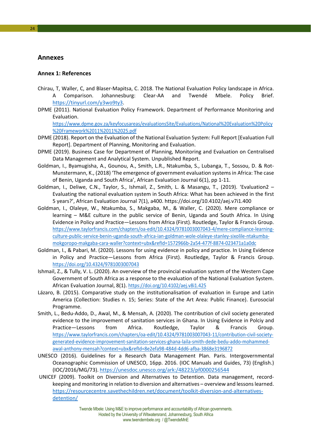#### <span id="page-24-0"></span>**Annexes**

#### <span id="page-24-1"></span>**Annex 1: References**

- Chirau, T, Waller, C, and Blaser-Mapitsa, C. 2018. The National Evaluation Policy landscape in Africa. A Comparison. Johannesburg: Clear-AA and Twendé Mbele. Policy Brief. [https://tinyurl.com/y3wo9ty3.](https://tinyurl.com/y3wo9ty3)
- DPME (2011). National Evaluation Policy Framework. Department of Performance Monitoring and Evaluation.

[https://www.dpme.gov.za/keyfocusareas/evaluationsSite/Evaluations/National%20Evaluation%20Policy](https://www.dpme.gov.za/keyfocusareas/evaluationsSite/Evaluations/National%20Evaluation%20Policy%20Framework%2011%2011%2025.pdf) [%20Framework%2011%2011%2025.pdf](https://www.dpme.gov.za/keyfocusareas/evaluationsSite/Evaluations/National%20Evaluation%20Policy%20Framework%2011%2011%2025.pdf) 

- DPME (2018). Report on the Evaluation of the National Evaluation System: Full Report [Evaluation Full Report]. Department of Planning, Monitoring and Evaluation.
- DPME (2019). Business Case for Department of Planning, Monitoring and Evaluation on Centralised Data Management and Analytical System. Unpublished Report.
- Goldman, I., Byamugisha, A., Gounou, A., Smith, L.R., Ntakumba, S., Lubanga, T., Sossou, D. & Rot-Munstermann, K., (2018) 'The emergence of government evaluation systems in Africa: The case of Benin, Uganda and South Africa', African Evaluation Journal 6(1), pp 1-11.
- Goldman, I., Deliwe, C.N., Taylor, S., Ishmail, Z., Smith, L. & Masangu, T., (2019). 'Evaluation2 Evaluating the national evaluation system in South Africa: What has been achieved in the first 5 years?', African Evaluation Journal 7(1), a400.<https://doi.org/10.4102/aej.v7i1.400>
- Goldman, I., Olaleye, W., Ntakumba, S., Makgaba, M., & Waller, C. (2020). Mere compliance or learning – M&E culture in the public service of Benin, Uganda and South Africa. In Using Evidence in Policy and Practice—Lessons from Africa (First). Routledge, Taylor & Francis Group. [https://www.taylorfrancis.com/chapters/oa-edit/10.4324/9781003007043-4/mere-compliance-learning](https://www.taylorfrancis.com/chapters/oa-edit/10.4324/9781003007043-4/mere-compliance-learning-culture-public-service-benin-uganda-south-africa-ian-goldman-wole-olaleye-stanley-sixolile-ntakumba-mokgoropo-makgaba-cara-waller?context=ubx&refId=1572966b-2a54-477f-8874-023471a1a0dc)[culture-public-service-benin-uganda-south-africa-ian-goldman-wole-olaleye-stanley-sixolile-ntakumba](https://www.taylorfrancis.com/chapters/oa-edit/10.4324/9781003007043-4/mere-compliance-learning-culture-public-service-benin-uganda-south-africa-ian-goldman-wole-olaleye-stanley-sixolile-ntakumba-mokgoropo-makgaba-cara-waller?context=ubx&refId=1572966b-2a54-477f-8874-023471a1a0dc)[mokgoropo-makgaba-cara-waller?context=ubx&refId=1572966b-2a54-477f-8874-023471a1a0dc](https://www.taylorfrancis.com/chapters/oa-edit/10.4324/9781003007043-4/mere-compliance-learning-culture-public-service-benin-uganda-south-africa-ian-goldman-wole-olaleye-stanley-sixolile-ntakumba-mokgoropo-makgaba-cara-waller?context=ubx&refId=1572966b-2a54-477f-8874-023471a1a0dc)
- Goldman, I., & Pabari, M. (2020). Lessons for using evidence in policy and practice. In Using Evidence in Policy and Practice—Lessons from Africa (First). Routledge, Taylor & Francis Group. <https://doi.org/10.4324/9781003007043>
- Ishmail, Z., & Tully, V. L. (2020). An overview of the provincial evaluation system of the Western Cape Government of South Africa as a response to the evaluation of the National Evaluation System. African Evaluation Journal, 8(1).<https://doi.org/10.4102/aej.v8i1.425>
- Lázaro, B. (2015). Comparative study on the institutionalisation of evaluation in Europe and Latin America (Collection: Studies n. 15; Series: State of the Art Area: Public Finance). Eurosocial Programme.
- Smith, L., Bedu-Addo, D., Awal, M., & Mensah, A. (2020). The contribution of civil society generated evidence to the improvement of sanitation services in Ghana. In Using Evidence in Polciy and Practice—Lessons from Africa. Routledge, Taylor & Francis Group. [https://www.taylorfrancis.com/chapters/oa-edit/10.4324/9781003007043-11/contribution-civil-society](https://www.taylorfrancis.com/chapters/oa-edit/10.4324/9781003007043-11/contribution-civil-society-generated-evidence-improvement-sanitation-services-ghana-laila-smith-dede-bedu-addo-mohammed-awal-anthony-mensah?context=ubx&refId=8e2efa98-484d-4dd6-afba-3868e3196872)[generated-evidence-improvement-sanitation-services-ghana-laila-smith-dede-bedu-addo-mohammed](https://www.taylorfrancis.com/chapters/oa-edit/10.4324/9781003007043-11/contribution-civil-society-generated-evidence-improvement-sanitation-services-ghana-laila-smith-dede-bedu-addo-mohammed-awal-anthony-mensah?context=ubx&refId=8e2efa98-484d-4dd6-afba-3868e3196872)[awal-anthony-mensah?context=ubx&refId=8e2efa98-484d-4dd6-afba-3868e3196872](https://www.taylorfrancis.com/chapters/oa-edit/10.4324/9781003007043-11/contribution-civil-society-generated-evidence-improvement-sanitation-services-ghana-laila-smith-dede-bedu-addo-mohammed-awal-anthony-mensah?context=ubx&refId=8e2efa98-484d-4dd6-afba-3868e3196872)
- UNESCO (2016). Guidelines for a Research Data Management Plan. Paris. Intergovernmental Oceanographic Commission of UNESCO, 16pp. 2016. (IOC Manuals and Guides, 73) (English.) (IOC/2016/MG/73). <https://unesdoc.unesco.org/ark:/48223/pf0000256544>
- UNICEF (2009). Toolkit on Diversion and Alternatives to Detention. Data management, recordkeeping and monitoring in relation to diversion and alternatives – overview and lessons learned. [https://resourcecentre.savethechildren.net/document/toolkit-diversion-and-alternatives](https://resourcecentre.savethechildren.net/document/toolkit-diversion-and-alternatives-detention/)[detention/](https://resourcecentre.savethechildren.net/document/toolkit-diversion-and-alternatives-detention/)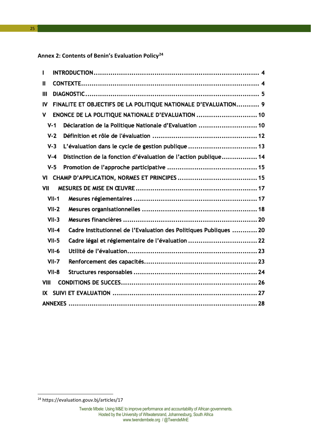<span id="page-25-0"></span>**Annex 2: Contents of Benin's Evaluation Policy[24](#page-25-1)**

| п    |         |                                                                   |  |
|------|---------|-------------------------------------------------------------------|--|
| Ш    |         |                                                                   |  |
| Ш    |         |                                                                   |  |
| IV   |         | FINALITE ET OBJECTIFS DE LA POLITIQUE NATIONALE D'EVALUATION 9    |  |
| ٧    |         | ENONCE DE LA POLITIQUE NATIONALE D'EVALUATION  10                 |  |
|      | $V - 1$ | Déclaration de la Politique Nationale d'Evaluation  10            |  |
|      | $V-2$   |                                                                   |  |
|      | $V-3$   | L'évaluation dans le cycle de gestion publique  13                |  |
|      | $V - 4$ | Distinction de la fonction d'évaluation de l'action publique 14   |  |
|      | $V-5$   |                                                                   |  |
| VI   |         |                                                                   |  |
| VII  |         |                                                                   |  |
|      | $VII-1$ |                                                                   |  |
|      | $VII-2$ |                                                                   |  |
|      | $VII-3$ |                                                                   |  |
|      | $VII-4$ | Cadre Institutionnel de l'Evaluation des Politiques Publiques  20 |  |
|      | $VII-5$ | Cadre légal et réglementaire de l'évaluation  22                  |  |
|      | $VII-6$ |                                                                   |  |
|      | $VII-7$ |                                                                   |  |
|      | $VII-8$ |                                                                   |  |
| VIII |         |                                                                   |  |
| IX   |         |                                                                   |  |
|      |         |                                                                   |  |

**.** 

<span id="page-25-1"></span><sup>&</sup>lt;sup>24</sup> https://evaluation.gouv.bj/articles/17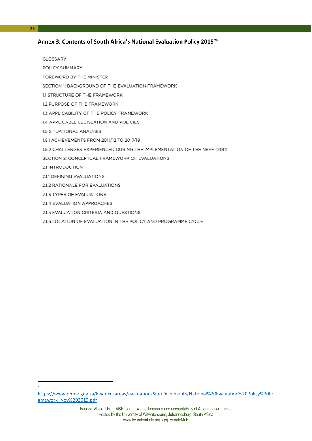#### <span id="page-26-0"></span>**Annex 3: Contents of South Africa's National Evaluation Policy 2019[25](#page-26-1)**

GLOSSARY

26

- POLICY SUMMARY
- FOREWORD BY THE MINISTER
- SECTION 1: BACKGROUND OF THE EVALUATION FRAMEWORK
- 1.1 STRUCTURE OF THE FRAMEWORK
- 1.2 PURPOSE OF THE FRAMEWORK
- 1.3 APPLICABILITY OF THE POLICY FRAMEWORK
- 1.4 APPLICABLE LEGISLATION AND POLICIES
- 1.5 SITUATIONAL ANALYSIS
- 1.5.1 ACHIEVEMENTS FROM 2011/12 TO 2017/18
- 1.5.2 CHALLENGES EXPERIENCED DURING THE IMPLEMENTATION OF THE NEPF (2011)
- SECTION 2: CONCEPTUAL FRAMEWORK OF EVALUATIONS
- 2.1 INTRODUCTION
- 2.1.1 DEFINING EVALUATIONS
- 2.1.2 RATIONALE FOR EVALUATIONS
- 2.1.3 TYPES OF EVALUATIONS
- 2.1.4 EVALUATION APPROACHES
- 2.1.5 EVALUATION CRITERIA AND QUESTIONS
- 2.1.6 LOCATION OF EVALUATION IN THE POLICY AND PROGRAMME CYCLE

 $\frac{1}{25}$ 

<span id="page-26-1"></span>[https://www.dpme.gov.za/keyfocusareas/evaluationsSite/Documents/National%20Evaluation%20Policy%20Fr](https://www.dpme.gov.za/keyfocusareas/evaluationsSite/Documents/National%20Evaluation%20Policy%20Framework_Nov%202019.pdf) [amework\\_Nov%202019.pdf](https://www.dpme.gov.za/keyfocusareas/evaluationsSite/Documents/National%20Evaluation%20Policy%20Framework_Nov%202019.pdf)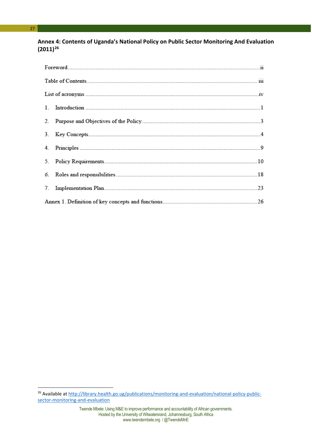#### <span id="page-27-0"></span>**Annex 4: Contents of Uganda's National Policy on Public Sector Monitoring And Evaluation (2011)[26](#page-27-1)**

<u>.</u>

<span id="page-27-1"></span><sup>&</sup>lt;sup>26</sup> Available a[t http://library.health.go.ug/publications/monitoring-and-evaluation/national-policy-public](http://library.health.go.ug/publications/monitoring-and-evaluation/national-policy-public-sector-monitoring-and-evaluation)[sector-monitoring-and-evaluation](http://library.health.go.ug/publications/monitoring-and-evaluation/national-policy-public-sector-monitoring-and-evaluation)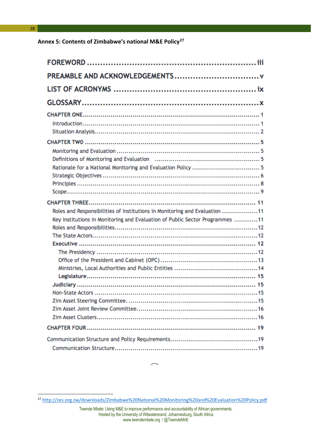<span id="page-28-0"></span>**Annex 5: Contents of Zimbabwe's national M&E Policy[27](#page-28-1)** 

| Roles and Responsibilities of Institutions in Monitoring and Evaluation 11<br>Key Institutions in Monitoring and Evaluation of Public Sector Programmes 11 |
|------------------------------------------------------------------------------------------------------------------------------------------------------------|
|                                                                                                                                                            |
|                                                                                                                                                            |

**.** 

<span id="page-28-1"></span><sup>27</sup> <http://zes.org.zw/downloads/Zimbabwe%20National%20Monitoring%20and%20Evaluation%20Policy.pdf>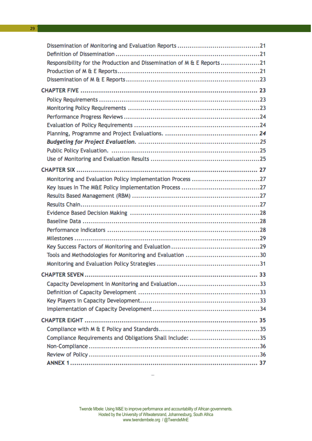| Responsibility for the Production and Dissemination of M & E Reports 21 |  |
|-------------------------------------------------------------------------|--|
|                                                                         |  |
|                                                                         |  |
|                                                                         |  |
|                                                                         |  |
|                                                                         |  |
|                                                                         |  |
|                                                                         |  |
|                                                                         |  |
|                                                                         |  |
|                                                                         |  |
|                                                                         |  |
|                                                                         |  |
|                                                                         |  |
|                                                                         |  |
|                                                                         |  |
|                                                                         |  |
|                                                                         |  |
|                                                                         |  |
|                                                                         |  |
|                                                                         |  |
|                                                                         |  |
|                                                                         |  |
|                                                                         |  |
|                                                                         |  |
|                                                                         |  |
|                                                                         |  |
|                                                                         |  |
|                                                                         |  |
|                                                                         |  |
|                                                                         |  |
|                                                                         |  |
| Compliance Requirements and Obligations Shall Include: 35               |  |
|                                                                         |  |
|                                                                         |  |
|                                                                         |  |